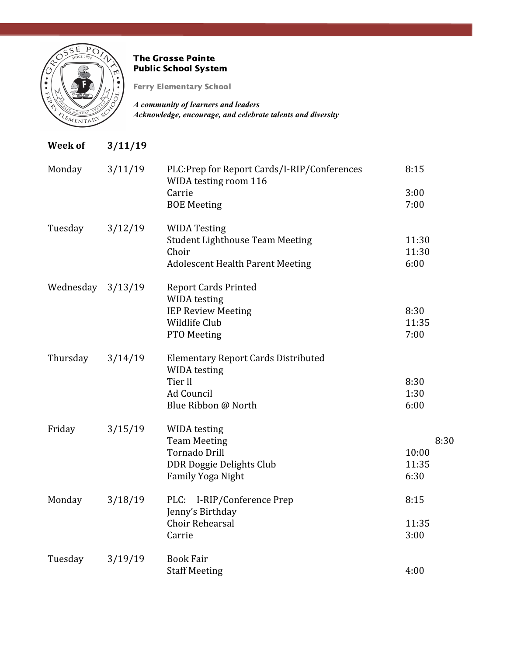

# The Grosse Pointe Public School System

Ferry Elementary School

*A community of learners and leaders Acknowledge, encourage, and celebrate talents and diversity*

| <b>Week of</b> | 3/11/19 |                                                                                |               |
|----------------|---------|--------------------------------------------------------------------------------|---------------|
| Monday         | 3/11/19 | PLC:Prep for Report Cards/I-RIP/Conferences<br>WIDA testing room 116<br>Carrie | 8:15          |
|                |         | <b>BOE Meeting</b>                                                             | 3:00<br>7:00  |
| Tuesday        | 3/12/19 | <b>WIDA Testing</b><br><b>Student Lighthouse Team Meeting</b>                  | 11:30         |
|                |         | Choir<br><b>Adolescent Health Parent Meeting</b>                               | 11:30<br>6:00 |
| Wednesday      | 3/13/19 | <b>Report Cards Printed</b><br>WIDA testing                                    |               |
|                |         | <b>IEP Review Meeting</b>                                                      | 8:30          |
|                |         | Wildlife Club                                                                  | 11:35         |
|                |         | PTO Meeting                                                                    | 7:00          |
| Thursday       | 3/14/19 | <b>Elementary Report Cards Distributed</b><br><b>WIDA</b> testing              |               |
|                |         | Tier ll                                                                        | 8:30          |
|                |         | Ad Council                                                                     | 1:30          |
|                |         | Blue Ribbon @ North                                                            | 6:00          |
| Friday         | 3/15/19 | <b>WIDA</b> testing                                                            |               |
|                |         | <b>Team Meeting</b><br><b>Tornado Drill</b>                                    | 8:30<br>10:00 |
|                |         | DDR Doggie Delights Club                                                       | 11:35         |
|                |         | <b>Family Yoga Night</b>                                                       | 6:30          |
|                |         |                                                                                |               |
| Monday         | 3/18/19 | PLC: I-RIP/Conference Prep<br>Jenny's Birthday                                 | 8:15          |
|                |         | <b>Choir Rehearsal</b>                                                         | 11:35         |
|                |         | Carrie                                                                         | 3:00          |
| Tuesday        | 3/19/19 | <b>Book Fair</b>                                                               |               |
|                |         | <b>Staff Meeting</b>                                                           | 4:00          |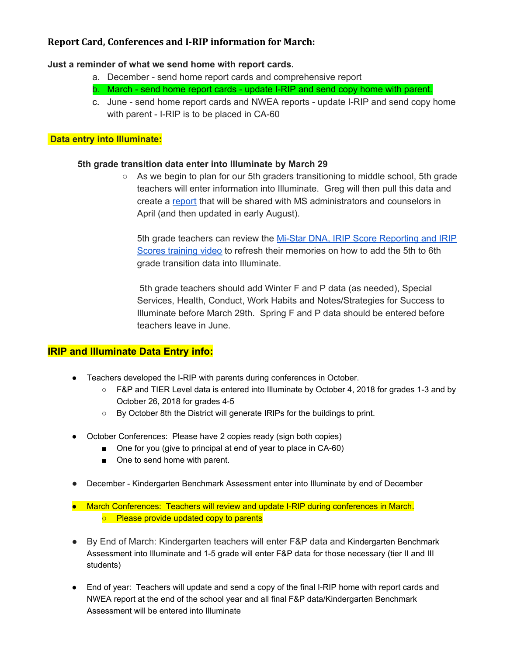## **Report Card, Conferences and I-RIP information for March:**

#### **Just a reminder of what we send home with report cards.**

- a. December send home report cards and comprehensive report
- b. March send home report cards update I-RIP and send copy home with parent.
- c. June send home report cards and NWEA reports update I-RIP and send copy home with parent - I-RIP is to be placed in CA-60

### **Data entry into Illuminate:**

#### **5th grade transition data enter into Illuminate by March 29**

 $\circ$  As we begin to plan for our 5th graders transitioning to middle school, 5th grade teachers will enter information into Illuminate. Greg will then pull this data and create a [report](https://drive.google.com/file/d/0B75k5guq6kPDZEpVa0w5NmpwN25iTkNma2w2dm5nTk1XWTdF/view?usp=sharing) that will be shared with MS administrators and counselors in April (and then updated in early August).

5th grade teachers can review the Mi-Star DNA, IRIP Score [Reporting](https://drive.google.com/drive/folders/19gX65NH1t9YV9yacat_c8E7FRxKVzmfO) and IRIP Scores [training](https://drive.google.com/drive/folders/19gX65NH1t9YV9yacat_c8E7FRxKVzmfO) video to refresh their memories on how to add the 5th to 6th grade transition data into Illuminate.

5th grade teachers should add Winter F and P data (as needed), Special Services, Health, Conduct, Work Habits and Notes/Strategies for Success to Illuminate before March 29th. Spring F and P data should be entered before teachers leave in June.

## **IRIP and Illuminate Data Entry info:**

- **●** Teachers developed the I-RIP with parents during conferences in October.
	- **○** F&P and TIER Level data is entered into Illuminate by October 4, 2018 for grades 1-3 and by October 26, 2018 for grades 4-5
	- **○** By October 8th the District will generate IRIPs for the buildings to print.
- **●** October Conferences: Please have 2 copies ready (sign both copies)
	- One for you (give to principal at end of year to place in CA-60)
	- One to send home with parent.
- **●** December Kindergarten Benchmark Assessment enter into Illuminate by end of December
- **●** March Conferences: Teachers will review and update I-RIP during conferences in March. **○** Please provide updated copy to parents
- By End of March: Kindergarten teachers will enter F&P data and Kindergarten Benchmark Assessment into Illuminate and 1-5 grade will enter F&P data for those necessary (tier II and III students)
- End of year: Teachers will update and send a copy of the final I-RIP home with report cards and NWEA report at the end of the school year and all final F&P data/Kindergarten Benchmark Assessment will be entered into Illuminate